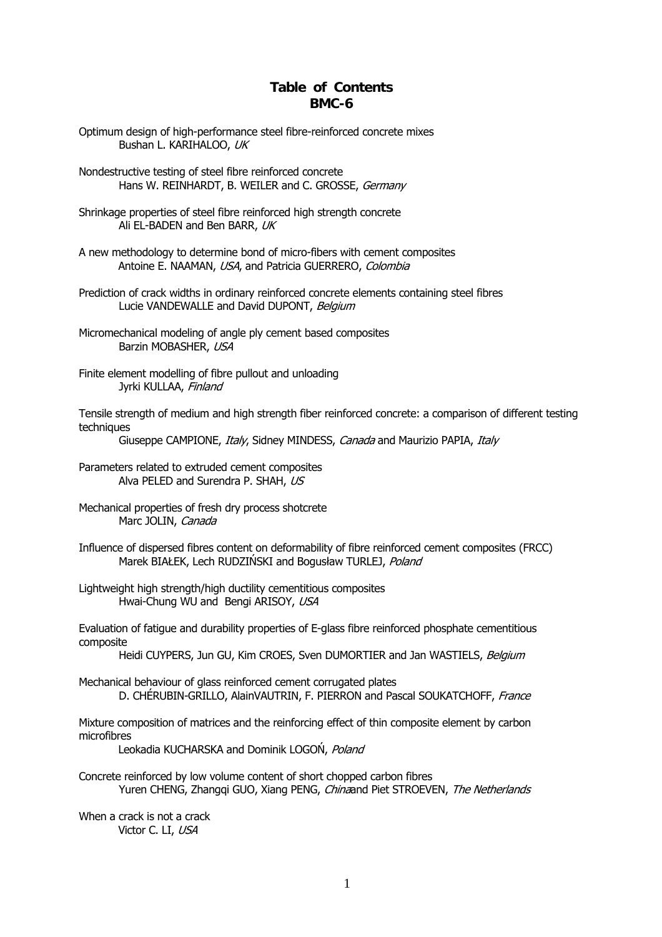## **Table of Contents BMC-6**

- Optimum design of high-performance steel fibre-reinforced concrete mixes Bushan L. KARIHALOO, UK
- Hans W. REINHARDT, B. WEILER and C. GROSSE, Germany Nondestructive testing of steel fibre reinforced concrete
- Shrinkage properties of steel fibre reinforced high strength concrete Ali EL-BADEN and Ben BARR, UK
- A new methodology to determine bond of micro-fibers with cement composites Antoine E. NAAMAN, USA, and Patricia GUERRERO, Colombia
- Prediction of crack widths in ordinary reinforced concrete elements containing steel fibres Lucie VANDEWALLE and David DUPONT, Belgium
- Micromechanical modeling of angle ply cement based composites Barzin MOBASHER, USA
- Finite element modelling of fibre pullout and unloading Jyrki KULLAA, Finland

Tensile strength of medium and high strength fiber reinforced concrete: a comparison of different testing techniques

Giuseppe CAMPIONE, Italy, Sidney MINDESS, Canada and Maurizio PAPIA, Italy

Parameters related to extruded cement composites Alva PELED and Surendra P. SHAH, US

- Mechanical properties of fresh dry process shotcrete Marc JOLIN, Canada
- Influence of dispersed fibres content on deformability of fibre reinforced cement composites (FRCC) Marek BIAŁEK, Lech RUDZIŃSKI and Bogusław TURLEJ, Poland
- Lightweight high strength/high ductility cementitious composites Hwai-Chung WU and Bengi ARISOY, USA

Evaluation of fatigue and durability properties of E-glass fibre reinforced phosphate cementitious composite

Heidi CUYPERS, Jun GU, Kim CROES, Sven DUMORTIER and Jan WASTIELS, Belgium

Mechanical behaviour of glass reinforced cement corrugated plates D. CHÉRUBIN-GRILLO, AlainVAUTRIN, F. PIERRON and Pascal SOUKATCHOFF, France

Mixture composition of matrices and the reinforcing effect of thin composite element by carbon microfibres

Leokadia KUCHARSKA and Dominik LOGOŃ, Poland

Yuren CHENG, Zhangqi GUO, Xiang PENG, *China*and Piet STROEVEN, *The Netherlands* Concrete reinforced by low volume content of short chopped carbon fibres

When a crack is not a crack Victor C. LI, USA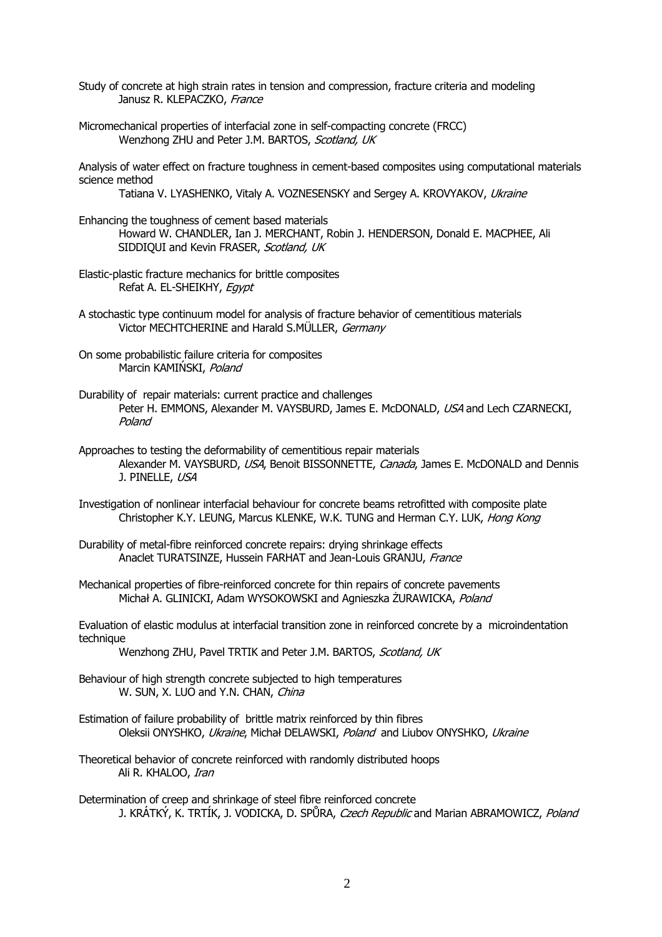Study of concrete at high strain rates in tension and compression, fracture criteria and modeling Janusz R. KLEPACZKO, France

Micromechanical properties of interfacial zone in self-compacting concrete (FRCC) Wenzhong ZHU and Peter J.M. BARTOS, Scotland, UK

Analysis of water effect on fracture toughness in cement-based composites using computational materials science method

Tatiana V. LYASHENKO, Vitaly A. VOZNESENSKY and Sergey A. KROVYAKOV, Ukraine

- Enhancing the toughness of cement based materials Howard W. CHANDLER, Ian J. MERCHANT, Robin J. HENDERSON, Donald E. MACPHEE, Ali SIDDIQUI and Kevin FRASER, Scotland, UK
- Elastic-plastic fracture mechanics for brittle composites Refat A. EL-SHEIKHY, Egypt
- A stochastic type continuum model for analysis of fracture behavior of cementitious materials Victor MECHTCHERINE and Harald S.MÜLLER, Germany
- On some probabilistic failure criteria for composites Marcin KAMIŃSKI, Poland
- Durability of repair materials: current practice and challenges Peter H. EMMONS, Alexander M. VAYSBURD, James E. McDONALD, USA and Lech CZARNECKI, Poland
- Approaches to testing the deformability of cementitious repair materials Alexander M. VAYSBURD, USA, Benoit BISSONNETTE, Canada, James E. McDONALD and Dennis J. PINELLE, USA
- Investigation of nonlinear interfacial behaviour for concrete beams retrofitted with composite plate Christopher K.Y. LEUNG, Marcus KLENKE, W.K. TUNG and Herman C.Y. LUK, Hong Kong
- Durability of metal-fibre reinforced concrete repairs: drying shrinkage effects Anaclet TURATSINZE, Hussein FARHAT and Jean-Louis GRANJU, France
- Mechanical properties of fibre-reinforced concrete for thin repairs of concrete pavements Michał A. GLINICKI, Adam WYSOKOWSKI and Agnieszka ŻURAWICKA, Poland
- Evaluation of elastic modulus at interfacial transition zone in reinforced concrete by a microindentation technique

Wenzhong ZHU, Pavel TRTIK and Peter J.M. BARTOS, Scotland, UK

- Behaviour of high strength concrete subjected to high temperatures W. SUN, X. LUO and Y.N. CHAN, China
- Estimation of failure probability of brittle matrix reinforced by thin fibres Oleksii ONYSHKO, Ukraine, Michał DELAWSKI, Poland and Liubov ONYSHKO, Ukraine
- Theoretical behavior of concrete reinforced with randomly distributed hoops Ali R. KHALOO, Iran
- Determination of creep and shrinkage of steel fibre reinforced concrete J. KRÁTKÝ, K. TRTÍK, J. VODICKA, D. SPŮRA, *Czech Republic* and Marian ABRAMOWICZ, *Poland*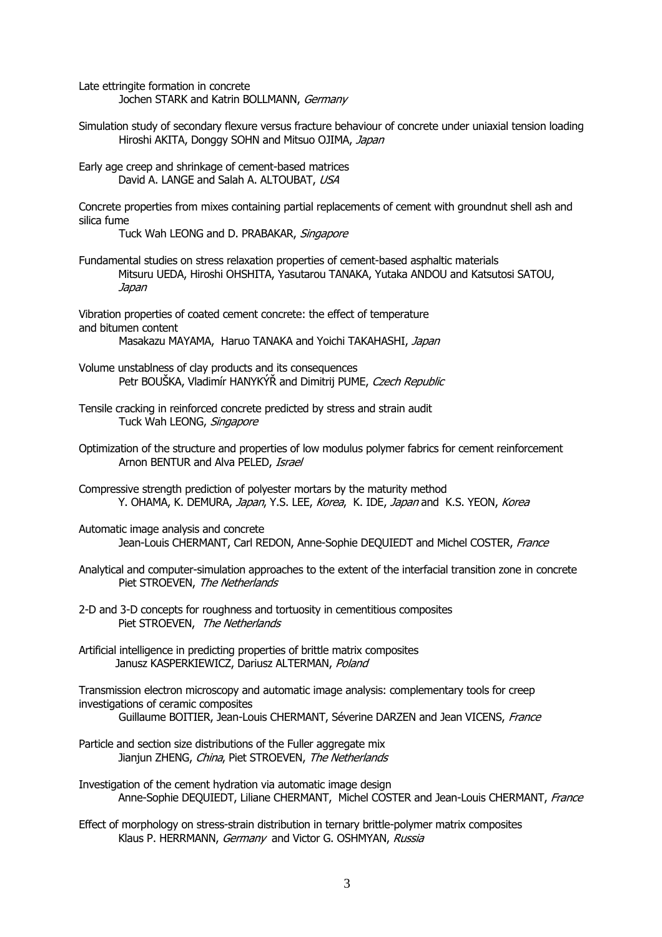Late ettringite formation in concrete Jochen STARK and Katrin BOLLMANN, Germany

Simulation study of secondary flexure versus fracture behaviour of concrete under uniaxial tension loading Hiroshi AKITA, Donggy SOHN and Mitsuo OJIMA, Japan

Early age creep and shrinkage of cement-based matrices David A. LANGE and Salah A. ALTOUBAT, USA

Concrete properties from mixes containing partial replacements of cement with groundnut shell ash and silica fume

Tuck Wah LEONG and D. PRABAKAR, Singapore

Fundamental studies on stress relaxation properties of cement-based asphaltic materials Mitsuru UEDA, Hiroshi OHSHITA, Yasutarou TANAKA, Yutaka ANDOU and Katsutosi SATOU, Japan

Vibration properties of coated cement concrete: the effect of temperature and bitumen content Masakazu MAYAMA, Haruo TANAKA and Yoichi TAKAHASHI, Japan

- Volume unstablness of clay products and its consequences Petr BOUŠKA, Vladimír HANYKÝŘ and Dimitrij PUME, Czech Republic
- Tuck Wah LEONG, Singapore Tensile cracking in reinforced concrete predicted by stress and strain audit
- Optimization of the structure and properties of low modulus polymer fabrics for cement reinforcement Arnon BENTUR and Alva PELED, Israel
- Compressive strength prediction of polyester mortars by the maturity method Y. OHAMA, K. DEMURA, Japan, Y.S. LEE, Korea, K. IDE, Japan and K.S. YEON, Korea
- Automatic image analysis and concrete Jean-Louis CHERMANT, Carl REDON, Anne-Sophie DEOUIEDT and Michel COSTER, France
- Piet STROEVEN, The Netherlands Analytical and computer-simulation approaches to the extent of the interfacial transition zone in concrete
- 2-D and 3-D concepts for roughness and tortuosity in cementitious composites Piet STROEVEN, The Netherlands
- Artificial intelligence in predicting properties of brittle matrix composites Janusz KASPERKIEWICZ, Dariusz ALTERMAN, Poland

Transmission electron microscopy and automatic image analysis: complementary tools for creep investigations of ceramic composites Guillaume BOITIER, Jean-Louis CHERMANT, Séverine DARZEN and Jean VICENS, France

Particle and section size distributions of the Fuller aggregate mix Jianjun ZHENG, China, Piet STROEVEN, The Netherlands

Investigation of the cement hydration via automatic image design Anne-Sophie DEQUIEDT, Liliane CHERMANT, Michel COSTER and Jean-Louis CHERMANT, France

Effect of morphology on stress-strain distribution in ternary brittle-polymer matrix composites Klaus P. HERRMANN, Germany and Victor G. OSHMYAN, Russia